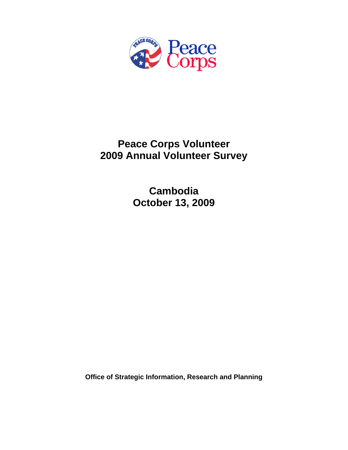

# **Peace Corps Volunteer 2009 Annual Volunteer Survey**

**Cambodia October 13, 2009** 

**Office of Strategic Information, Research and Planning**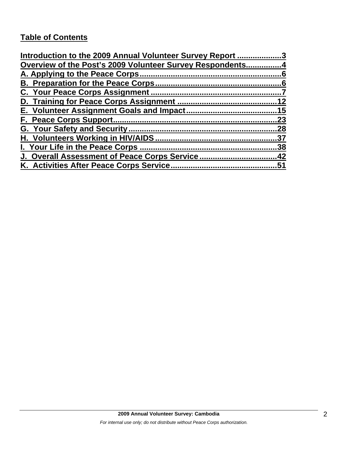## **Table of Contents**

| Introduction to the 2009 Annual Volunteer Survey Report 3 |     |
|-----------------------------------------------------------|-----|
| Overview of the Post's 2009 Volunteer Survey Respondents4 |     |
|                                                           |     |
|                                                           |     |
|                                                           |     |
|                                                           | 12  |
|                                                           |     |
|                                                           | 23  |
|                                                           | .28 |
|                                                           | .37 |
| I. Your Life in the Peace Corps.                          | .38 |
| J. Overall Assessment of Peace Corps Service42            |     |
| K. Activities After Peace Corps Service                   | 51  |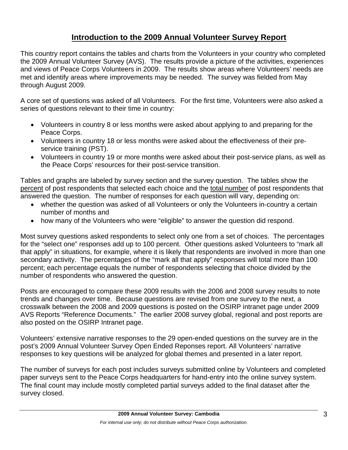## **Introduction to the 2009 Annual Volunteer Survey Report**

This country report contains the tables and charts from the Volunteers in your country who completed the 2009 Annual Volunteer Survey (AVS). The results provide a picture of the activities, experiences and views of Peace Corps Volunteers in 2009. The results show areas where Volunteers' needs are met and identify areas where improvements may be needed. The survey was fielded from May through August 2009.

A core set of questions was asked of all Volunteers. For the first time, Volunteers were also asked a series of questions relevant to their time in country:

- Volunteers in country 8 or less months were asked about applying to and preparing for the Peace Corps.
- Volunteers in country 18 or less months were asked about the effectiveness of their preservice training (PST).
- Volunteers in country 19 or more months were asked about their post-service plans, as well as the Peace Corps' resources for their post-service transition.

Tables and graphs are labeled by survey section and the survey question. The tables show the percent of post respondents that selected each choice and the total number of post respondents that answered the question. The number of responses for each question will vary, depending on:

- whether the question was asked of all Volunteers or only the Volunteers in-country a certain number of months and
- how many of the Volunteers who were "eligible" to answer the question did respond.

Most survey questions asked respondents to select only one from a set of choices. The percentages for the "select one" responses add up to 100 percent. Other questions asked Volunteers to "mark all that apply" in situations, for example, where it is likely that respondents are involved in more than one secondary activity. The percentages of the "mark all that apply" responses will total more than 100 percent; each percentage equals the number of respondents selecting that choice divided by the number of respondents who answered the question.

Posts are encouraged to compare these 2009 results with the 2006 and 2008 survey results to note trends and changes over time. Because questions are revised from one survey to the next, a crosswalk between the 2008 and 2009 questions is posted on the OSIRP intranet page under 2009 AVS Reports "Reference Documents." The earlier 2008 survey global, regional and post reports are also posted on the OSIRP Intranet page.

Volunteers' extensive narrative responses to the 29 open-ended questions on the survey are in the post's 2009 Annual Volunteer Survey Open Ended Reponses report. All Volunteers' narrative responses to key questions will be analyzed for global themes and presented in a later report.

The number of surveys for each post includes surveys submitted online by Volunteers and completed paper surveys sent to the Peace Corps headquarters for hand-entry into the online survey system. The final count may include mostly completed partial surveys added to the final dataset after the survey closed.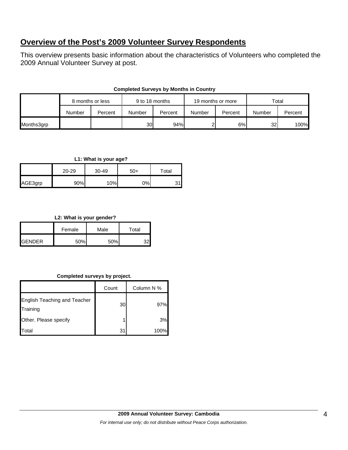## **Overview of the Post's 2009 Volunteer Survey Respondents**

This overview presents basic information about the characteristics of Volunteers who completed the 2009 Annual Volunteer Survey at post.

|            | 8 months or less |         | 9 to 18 months |         | 19 months or more |         | Total           |         |
|------------|------------------|---------|----------------|---------|-------------------|---------|-----------------|---------|
|            | Number           | Percent | Number         | Percent | Number            | Percent | Number          | Percent |
| Months3grp |                  |         | 30I            | 94%     |                   | 6%      | 32 <sub>l</sub> | 100%    |

## **Completed Surveys by Months in Country**

#### **L1: What is your age?**

|         | 20-29 | 30-49 | $50+$ | Total |
|---------|-------|-------|-------|-------|
| AGE3grp | 90%   | 10%   | 0%    |       |

## **L2: What is your gender?**

|               | Female | Male | Total |
|---------------|--------|------|-------|
| <b>GENDER</b> | 50%    | 50%  |       |

## **Completed surveys by project.**

|                                                 | Count     | Column N % |
|-------------------------------------------------|-----------|------------|
| <b>English Teaching and Teacher</b><br>Training | <b>30</b> | 97%        |
| Other. Please specify                           |           | 3%         |
| otal.                                           | 31        | 100%       |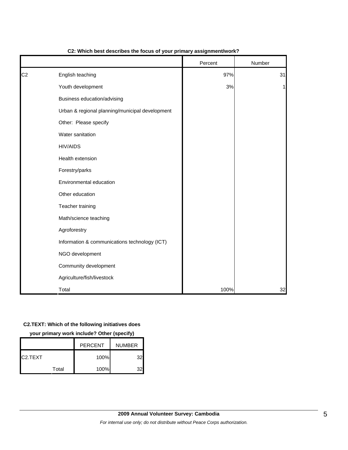|                |                                                 | Percent | Number |
|----------------|-------------------------------------------------|---------|--------|
| C <sub>2</sub> | English teaching                                | 97%     | 31     |
|                | Youth development                               | 3%      | 1      |
|                | Business education/advising                     |         |        |
|                | Urban & regional planning/municipal development |         |        |
|                | Other: Please specify                           |         |        |
|                | Water sanitation                                |         |        |
|                | <b>HIV/AIDS</b>                                 |         |        |
|                | Health extension                                |         |        |
|                | Forestry/parks                                  |         |        |
|                | Environmental education                         |         |        |
|                | Other education                                 |         |        |
|                | Teacher training                                |         |        |
|                | Math/science teaching                           |         |        |
|                | Agroforestry                                    |         |        |
|                | Information & communications technology (ICT)   |         |        |
|                | NGO development                                 |         |        |
|                | Community development                           |         |        |
|                | Agriculture/fish/livestock                      |         |        |
|                | Total                                           | 100%    | 32     |

#### **C2: Which best describes the focus of your primary assignment/work?**

#### **C2.TEXT: Which of the following initiatives does**

**your primary work include? Other (specify)**

|          |       | <b>PERCENT</b> | <b>NUMBER</b> |
|----------|-------|----------------|---------------|
| IC2.TEXT |       | 100%           | 32            |
|          | Total | 100%           |               |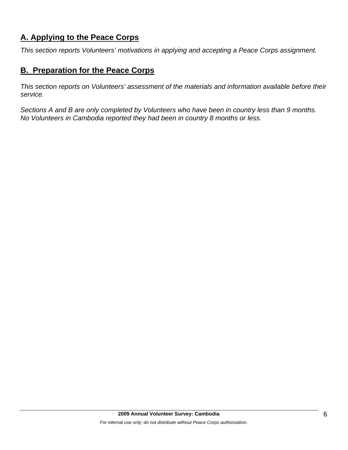## **A. Applying to the Peace Corps**

*This section reports Volunteers' motivations in applying and accepting a Peace Corps assignment.* 

## **B. Preparation for the Peace Corps**

*This section reports on Volunteers' assessment of the materials and information available before their service.* 

*Sections A and B are only completed by Volunteers who have been in country less than 9 months. No Volunteers in Cambodia reported they had been in country 8 months or less.*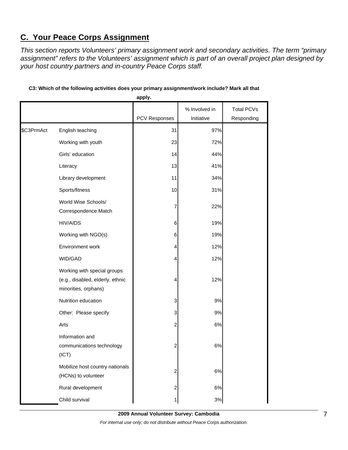## **C. Your Peace Corps Assignment**

*This section reports Volunteers' primary assignment work and secondary activities. The term "primary assignment" refers to the Volunteers' assignment which is part of an overall project plan designed by your host country partners and in-country Peace Corps staff.* 

|            |                                                                                         | apply.        |                             |                                 |
|------------|-----------------------------------------------------------------------------------------|---------------|-----------------------------|---------------------------------|
|            |                                                                                         | PCV Responses | % Involved in<br>Initiative | <b>Total PCVs</b><br>Responding |
| \$C3PrmAct | English teaching                                                                        | 31            | 97%                         |                                 |
|            | Working with youth                                                                      | 23            | 72%                         |                                 |
|            | Girls' education                                                                        | 14            | 44%                         |                                 |
|            | Literacy                                                                                | 13            | 41%                         |                                 |
|            | Library development                                                                     | 11            | 34%                         |                                 |
|            | Sports/fitness                                                                          | 10            | 31%                         |                                 |
|            | World Wise Schools/<br>Correspondence Match                                             | 7             | 22%                         |                                 |
|            | <b>HIV/AIDS</b>                                                                         | 6             | 19%                         |                                 |
|            | Working with NGO(s)                                                                     | 6             | 19%                         |                                 |
|            | Environment work                                                                        | 4             | 12%                         |                                 |
|            | WID/GAD                                                                                 | 4             | 12%                         |                                 |
|            | Working with special groups<br>(e.g., disabled, elderly, ethnic<br>minorities, orphans) | 4             | 12%                         |                                 |
|            | Nutrition education                                                                     | 3             | 9%                          |                                 |
|            | Other: Please specify                                                                   | 3             | 9%                          |                                 |
|            | Arts                                                                                    | 2             | 6%                          |                                 |
|            | Information and<br>communications technology<br>(ICT)                                   | 2             | 6%                          |                                 |
|            | Mobilize host country nationals<br>(HCNs) to volunteer                                  | 2             | 6%                          |                                 |
|            | Rural development                                                                       | 2             | $6\%$                       |                                 |
|            | Child survival                                                                          |               | 3%                          |                                 |

## **C3: Which of the following activities does your primary assignment/work include? Mark all that**

**2009 Annual Volunteer Survey: Cambodia**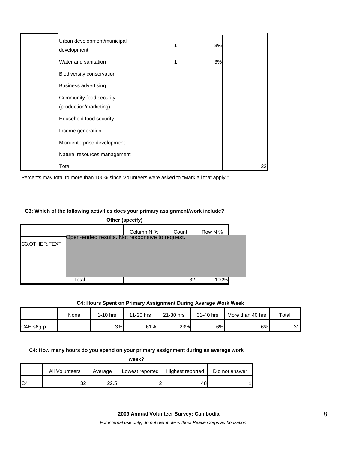| Urban development/municipal<br>development        | 3% |    |
|---------------------------------------------------|----|----|
| Water and sanitation                              | 3% |    |
| Biodiversity conservation                         |    |    |
| <b>Business advertising</b>                       |    |    |
| Community food security<br>(production/marketing) |    |    |
| Household food security                           |    |    |
| Income generation                                 |    |    |
| Microenterprise development                       |    |    |
| Natural resources management                      |    |    |
| Total                                             |    | 32 |

Percents may total to more than 100% since Volunteers were asked to "Mark all that apply."

#### **C3: Which of the following activities does your primary assignment/work include?**

| Other (specify)                                                 |       |            |       |         |  |  |
|-----------------------------------------------------------------|-------|------------|-------|---------|--|--|
|                                                                 |       | Column N % | Count | Row N % |  |  |
| Open-ended results. Not responsive to request.<br>C3.OTHER.TEXT |       |            |       |         |  |  |
|                                                                 |       |            |       |         |  |  |
|                                                                 |       |            |       |         |  |  |
|                                                                 |       |            |       |         |  |  |
|                                                                 | Total |            | 32    | 100%    |  |  |

#### **C4: Hours Spent on Primary Assignment During Average Work Week**

|           | None | 1-10 hrs | 11-20 hrs | 21-30 hrs | 31-40 hrs | More than 40 hrs | Total |
|-----------|------|----------|-----------|-----------|-----------|------------------|-------|
| C4Hrs6grp |      | 3%       | 61%       | 23%       | 6%        | 6%               | 31    |

**C4: How many hours do you spend on your primary assignment during an average work** 

| week?          |                |         |                 |                  |                |  |  |
|----------------|----------------|---------|-----------------|------------------|----------------|--|--|
|                | All Volunteers | Average | Lowest reported | Highest reported | Did not answer |  |  |
| C <sub>4</sub> | 32             | 22.5    |                 | 48               |                |  |  |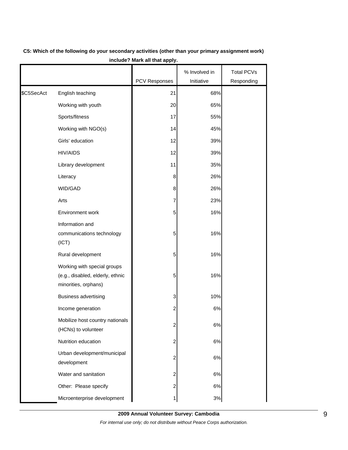|            |                                                                                         | <b>PCV Responses</b>    | % Involved in<br>Initiative | <b>Total PCVs</b><br>Responding |
|------------|-----------------------------------------------------------------------------------------|-------------------------|-----------------------------|---------------------------------|
| \$C5SecAct | English teaching                                                                        | 21                      | 68%                         |                                 |
|            | Working with youth                                                                      | 20                      | 65%                         |                                 |
|            | Sports/fitness                                                                          | 17                      | 55%                         |                                 |
|            | Working with NGO(s)                                                                     | 14                      | 45%                         |                                 |
|            | Girls' education                                                                        | 12                      | 39%                         |                                 |
|            | <b>HIV/AIDS</b>                                                                         | 12                      | 39%                         |                                 |
|            | Library development                                                                     | 11                      | 35%                         |                                 |
|            | Literacy                                                                                | 8                       | 26%                         |                                 |
|            | WID/GAD                                                                                 | 8                       | 26%                         |                                 |
|            | Arts                                                                                    | 7                       | 23%                         |                                 |
|            | Environment work                                                                        | 5                       | 16%                         |                                 |
|            | Information and<br>communications technology<br>(ICT)                                   | 5                       | 16%                         |                                 |
|            | Rural development                                                                       | 5                       | 16%                         |                                 |
|            | Working with special groups<br>(e.g., disabled, elderly, ethnic<br>minorities, orphans) | 5                       | 16%                         |                                 |
|            | <b>Business advertising</b>                                                             | 3                       | 10%                         |                                 |
|            | Income generation                                                                       | $\overline{c}$          | 6%                          |                                 |
|            | Mobilize host country nationals<br>(HCNs) to volunteer                                  | $\overline{c}$          | 6%                          |                                 |
|            | Nutrition education                                                                     | 2                       | 6%                          |                                 |
|            | Urban development/municipal<br>development                                              | 2                       | 6%                          |                                 |
|            | Water and sanitation                                                                    | $\overline{\mathbf{c}}$ | 6%                          |                                 |
|            | Other: Please specify                                                                   | $\overline{\mathbf{c}}$ | $6\%$                       |                                 |
|            | Microenterprise development                                                             | 1                       | $3%$                        |                                 |

## **C5: Which of the following do your secondary activities (other than your primary assignment work) include? Mark all that apply.**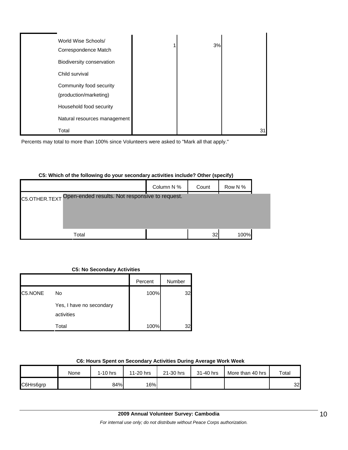| World Wise Schools/<br>Correspondence Match       | 3% |    |
|---------------------------------------------------|----|----|
| Biodiversity conservation                         |    |    |
| Child survival                                    |    |    |
| Community food security<br>(production/marketing) |    |    |
| Household food security                           |    |    |
| Natural resources management                      |    |    |
| Total                                             |    | 3. |

Percents may total to more than 100% since Volunteers were asked to "Mark all that apply."

## **C5: Which of the following do your secondary activities include? Other (specify)**

|                                                              | Column N % | Count | Row N % |  |  |  |  |  |  |
|--------------------------------------------------------------|------------|-------|---------|--|--|--|--|--|--|
| C5.OTHER.TEXT Open-ended results. Not responsive to request. |            |       |         |  |  |  |  |  |  |
|                                                              |            |       |         |  |  |  |  |  |  |
|                                                              |            |       |         |  |  |  |  |  |  |
| Total                                                        |            | 32    | 100%    |  |  |  |  |  |  |

#### **C5: No Secondary Activities**

|         |                                        | Percent | Number |
|---------|----------------------------------------|---------|--------|
| C5.NONE | No                                     | 100%    | 32     |
|         | Yes, I have no secondary<br>activities |         |        |
|         | Total                                  | 100%    |        |

### **C6: Hours Spent on Secondary Activities During Average Work Week**

|           | None | 1-10 hrs | 11-20 hrs | 21-30 hrs | 31-40 hrs | More than 40 hrs | Total           |
|-----------|------|----------|-----------|-----------|-----------|------------------|-----------------|
| C6Hrs6grp |      | 84%      | 16%       |           |           |                  | 32 <sub>l</sub> |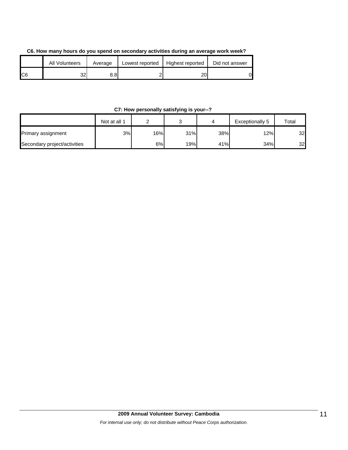| C6. How many hours do you spend on secondary activities during an average work week? |  |
|--------------------------------------------------------------------------------------|--|
|--------------------------------------------------------------------------------------|--|

|                | <b>All Volunteers</b> | Average | Lowest reported | Highest reported | Did not answer |
|----------------|-----------------------|---------|-----------------|------------------|----------------|
| C <sub>6</sub> | 32                    | 8.8I    |                 | 20               | D              |

## **C7: How personally satisfying is your--?**

|                              | Not at all 1 |     | ⌒<br>ັ |     | Exceptionally 5 | Total |
|------------------------------|--------------|-----|--------|-----|-----------------|-------|
| Primary assignment           | 3%           | 16% | 31%    | 38% | 12%             | 32    |
| Secondary project/activities |              | 6%l | 19%    | 41% | 34%             | 32    |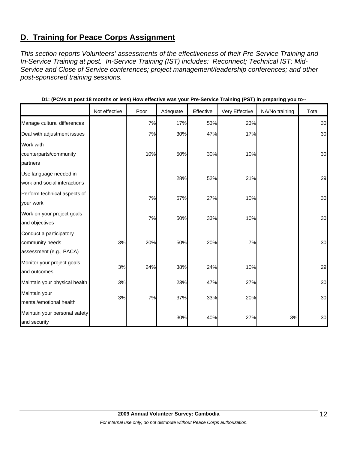## **D. Training for Peace Corps Assignment**

*This section reports Volunteers' assessments of the effectiveness of their Pre-Service Training and In-Service Training at post. In-Service Training (IST) includes: Reconnect; Technical IST; Mid-Service and Close of Service conferences; project management/leadership conferences; and other post-sponsored training sessions.* 

|                               | Not effective | Poor | Adequate | Effective | Very Effective | NA/No training | Total |
|-------------------------------|---------------|------|----------|-----------|----------------|----------------|-------|
| Manage cultural differences   |               | 7%   | 17%      | 53%       | 23%            |                | 30    |
| Deal with adjustment issues   |               | 7%   | 30%      | 47%       | 17%            |                | 30    |
| Work with                     |               |      |          |           |                |                |       |
| counterparts/community        |               | 10%  | 50%      | 30%       | 10%            |                | 30    |
| partners                      |               |      |          |           |                |                |       |
| Use language needed in        |               |      | 28%      | 52%       | 21%            |                | 29    |
| work and social interactions  |               |      |          |           |                |                |       |
| Perform technical aspects of  |               | 7%   | 57%      | 27%       | 10%            |                | 30    |
| your work                     |               |      |          |           |                |                |       |
| Work on your project goals    |               | 7%   | 50%      | 33%       | 10%            |                | 30    |
| and objectives                |               |      |          |           |                |                |       |
| Conduct a participatory       |               |      |          |           |                |                |       |
| community needs               | 3%            | 20%  | 50%      | 20%       | 7%             |                | 30    |
| assessment (e.g., PACA)       |               |      |          |           |                |                |       |
| Monitor your project goals    | 3%            | 24%  | 38%      | 24%       | 10%            |                | 29    |
| and outcomes                  |               |      |          |           |                |                |       |
| Maintain your physical health | 3%            |      | 23%      | 47%       | 27%            |                | 30    |
| Maintain your                 | 3%            | 7%   | 37%      | 33%       | 20%            |                | 30    |
| mental/emotional health       |               |      |          |           |                |                |       |
| Maintain your personal safety |               |      | 30%      | 40%       | 27%            | 3%             | 30    |
| and security                  |               |      |          |           |                |                |       |

|  | D1: (PCVs at post 18 months or less) How effective was your Pre-Service Training (PST) in preparing you to-- |  |
|--|--------------------------------------------------------------------------------------------------------------|--|
|--|--------------------------------------------------------------------------------------------------------------|--|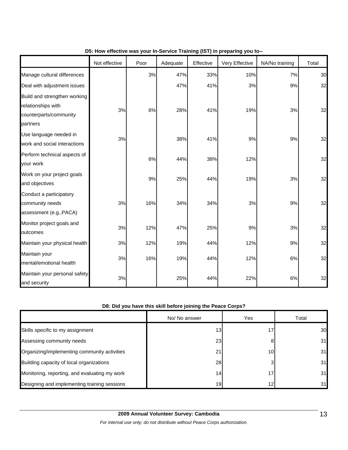|                                                                                          | Not effective | Poor | Adequate | Effective | Very Effective | NA/No training | Total |
|------------------------------------------------------------------------------------------|---------------|------|----------|-----------|----------------|----------------|-------|
| Manage cultural differences                                                              |               | 3%   | 47%      | 33%       | 10%            | 7%             | 30    |
| Deal with adjustment issues                                                              |               |      | 47%      | 41%       | 3%             | 9%             | 32    |
| Build and strengthen working<br>relationships with<br>counterparts/community<br>partners | 3%            | 6%   | 28%      | 41%       | 19%            | 3%             | 32    |
| Use language needed in<br>work and social interactions                                   | 3%            |      | 38%      | 41%       | 9%             | 9%             | 32    |
| Perform technical aspects of<br>your work                                                |               | 6%   | 44%      | 38%       | 12%            |                | 32    |
| Work on your project goals<br>and objectives                                             |               | 9%   | 25%      | 44%       | 19%            | 3%             | 32    |
| Conduct a participatory<br>community needs<br>assessment (e.g., PACA)                    | 3%            | 16%  | 34%      | 34%       | 3%             | 9%             | 32    |
| Monitor project goals and<br>outcomes                                                    | 3%            | 12%  | 47%      | 25%       | 9%             | 3%             | 32    |
| Maintain your physical health                                                            | $3%$          | 12%  | 19%      | 44%       | 12%            | 9%             | 32    |
| Maintain your<br>mental/emotional health                                                 | 3%            | 16%  | 19%      | 44%       | 12%            | 6%             | 32    |
| Maintain your personal safety<br>and security                                            | 3%            |      | 25%      | 44%       | 22%            | 6%             | 32    |

## **D5: How effective was your In-Service Training (IST) in preparing you to--**

## **D8: Did you have this skill before joining the Peace Corps?**

|                                               | No/ No answer   | Yes             | Total |
|-----------------------------------------------|-----------------|-----------------|-------|
| Skills specific to my assignment              | 13              |                 | 30    |
| Assessing community needs                     | 23              | 8               | 31    |
| Organizing/implementing community activities  | 21              | 10 <sub>l</sub> | 31    |
| Building capacity of local organizations      | 28              |                 | 31    |
| Monitoring, reporting, and evaluating my work | 14              | 17.             | 31    |
| Designing and implementing training sessions  | 19 <sub>l</sub> | 12 <sub>1</sub> | 31    |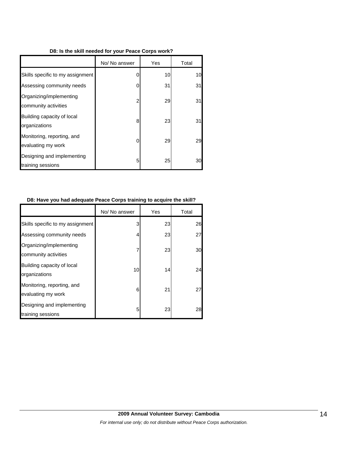#### **D8: Is the skill needed for your Peace Corps work?**

|                                                  | No/ No answer | Yes | Total |
|--------------------------------------------------|---------------|-----|-------|
| Skills specific to my assignment                 | 0             | 10  | 10    |
| Assessing community needs                        | 0             | 31  | 31    |
| Organizing/implementing<br>community activities  | 2             | 29  | 31    |
| Building capacity of local<br>organizations      | 8             | 23  | 31    |
| Monitoring, reporting, and<br>evaluating my work | 0             | 29  | 29    |
| Designing and implementing<br>training sessions  | 5             | 25  | 30    |

#### **D8: Have you had adequate Peace Corps training to acquire the skill?**

|                                                  | No/ No answer | Yes | Total |
|--------------------------------------------------|---------------|-----|-------|
| Skills specific to my assignment                 | 3             | 23  | 26    |
| Assessing community needs                        | 4             | 23  | 27    |
| Organizing/implementing<br>community activities  |               | 23  | 30    |
| Building capacity of local<br>organizations      | 10            | 14  | 24    |
| Monitoring, reporting, and<br>evaluating my work | 6             | 21  | 27    |
| Designing and implementing<br>training sessions  | 5             | 23  | 28    |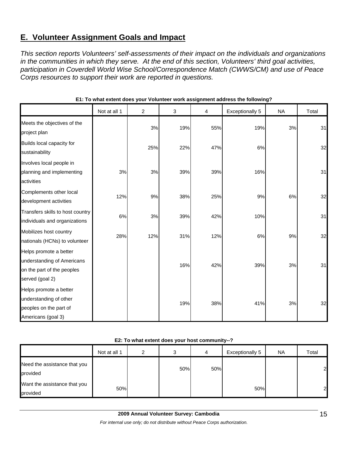## **E. Volunteer Assignment Goals and Impact**

*This section reports Volunteers' self-assessments of their impact on the individuals and organizations in the communities in which they serve. At the end of this section, Volunteers' third goal activities, participation in Coverdell World Wise School/Correspondence Match (CWWS/CM) and use of Peace Corps resources to support their work are reported in questions.* 

|                                                                                                       | Not at all 1 | $\overline{c}$ | 3   | 4   | Exceptionally 5 | <b>NA</b> | Total |
|-------------------------------------------------------------------------------------------------------|--------------|----------------|-----|-----|-----------------|-----------|-------|
| Meets the objectives of the<br>project plan                                                           |              | 3%             | 19% | 55% | 19%             | 3%        | 31    |
| Builds local capacity for<br>sustainability                                                           |              | 25%            | 22% | 47% | 6%              |           | 32    |
| Involves local people in<br>planning and implementing<br>activities                                   | 3%           | 3%             | 39% | 39% | 16%             |           | 31    |
| Complements other local<br>development activities                                                     | 12%          | 9%             | 38% | 25% | $9%$            | 6%        | 32    |
| Transfers skills to host country<br>individuals and organizations                                     | 6%           | 3%             | 39% | 42% | 10%             |           | 31    |
| Mobilizes host country<br>nationals (HCNs) to volunteer                                               | 28%          | 12%            | 31% | 12% | 6%              | 9%        | 32    |
| Helps promote a better<br>understanding of Americans<br>on the part of the peoples<br>served (goal 2) |              |                | 16% | 42% | 39%             | 3%        | 31    |
| Helps promote a better<br>understanding of other<br>peoples on the part of<br>Americans (goal 3)      |              |                | 19% | 38% | 41%             | 3%        | 32    |

#### **E1: To what extent does your Volunteer work assignment address the following?**

#### **E2: To what extent does your host community--?**

|                                          | Not at all 1 | ◠ | ົ<br>C | 4   | Exceptionally 5 | NA. | Total |
|------------------------------------------|--------------|---|--------|-----|-----------------|-----|-------|
| Need the assistance that you<br>provided |              |   | 50%    | 50% |                 |     | 21    |
| Want the assistance that you<br>provided | 50%          |   |        |     | 50%             |     | 2     |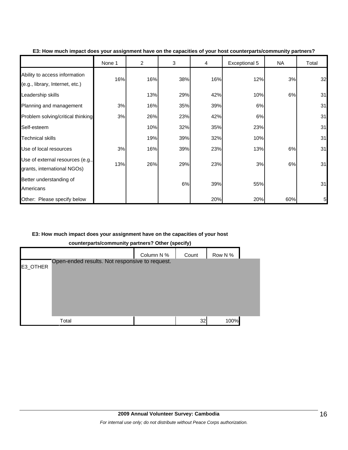|                                                                  | None 1 | $\overline{2}$ | 3   | 4   | Exceptional 5 | NA  | Total |
|------------------------------------------------------------------|--------|----------------|-----|-----|---------------|-----|-------|
| Ability to access information<br>(e.g., library, Internet, etc.) | 16%    | 16%            | 38% | 16% | 12%           | 3%  | 32    |
| Leadership skills                                                |        | 13%            | 29% | 42% | 10%           | 6%  | 31    |
| Planning and management                                          | 3%     | 16%            | 35% | 39% | 6%            |     | 31    |
| Problem solving/critical thinking                                | 3%     | 26%            | 23% | 42% | 6%            |     | 31    |
| Self-esteem                                                      |        | 10%            | 32% | 35% | 23%           |     | 31    |
| <b>Technical skills</b>                                          |        | 19%            | 39% | 32% | 10%           |     | 31    |
| Use of local resources                                           | 3%     | 16%            | 39% | 23% | 13%           | 6%  | 31    |
| Use of external resources (e.g.,<br>grants, international NGOs)  | 13%    | 26%            | 29% | 23% | 3%            | 6%  | 31    |
| Better understanding of<br>Americans                             |        |                | 6%  | 39% | 55%           |     | 31    |
| Other: Please specify below                                      |        |                |     | 20% | 20%           | 60% | 5     |

#### **E3: How much impact does your assignment have on the capacities of your host counterparts/community partners?**

## **E3: How much impact does your assignment have on the capacities of your host**

**counterparts/community partners? Other (specify)** Column N % Count Row N % E3\_OTHER Total 32 100% Open-ended results. Not responsive to request.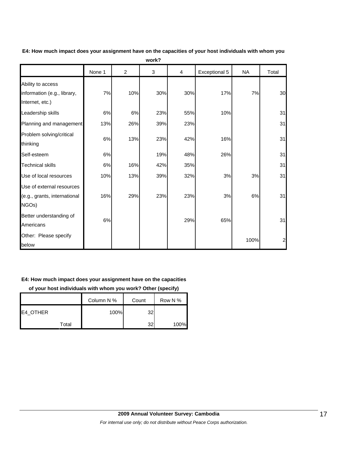|                                                                     | None 1 | $\overline{c}$ | $\mathbf{3}$ | 4   | Exceptional 5 | <b>NA</b> | Total          |
|---------------------------------------------------------------------|--------|----------------|--------------|-----|---------------|-----------|----------------|
| Ability to access<br>information (e.g., library,<br>Internet, etc.) | 7%     | 10%            | 30%          | 30% | 17%           | 7%        | 30             |
| Leadership skills                                                   | 6%     | 6%             | 23%          | 55% | 10%           |           | 31             |
| Planning and management                                             | 13%    | 26%            | 39%          | 23% |               |           | 31             |
| Problem solving/critical<br>thinking                                | 6%     | 13%            | 23%          | 42% | 16%           |           | 31             |
| Self-esteem                                                         | 6%     |                | 19%          | 48% | 26%           |           | 31             |
| <b>Technical skills</b>                                             | 6%     | 16%            | 42%          | 35% |               |           | 31             |
| Use of local resources                                              | 10%    | 13%            | 39%          | 32% | 3%            | 3%        | 31             |
| Use of external resources<br>(e.g., grants, international<br>NGOs)  | 16%    | 29%            | 23%          | 23% | 3%            | 6%        | 31             |
| Better understanding of<br>Americans                                | $6\%$  |                |              | 29% | 65%           |           | 31             |
| Other: Please specify<br>below                                      |        |                |              |     |               | 100%      | $\overline{a}$ |

**E4: How much impact does your assignment have on the capacities of your host individuals with whom you work?**

## **E4: How much impact does your assignment have on the capacities**

**of your host individuals with whom you work? Other (specify)**

|          | Column N % | Count | Row N % |
|----------|------------|-------|---------|
| E4 OTHER | 100%       | 32    |         |
| Total    |            | 32    | 100%    |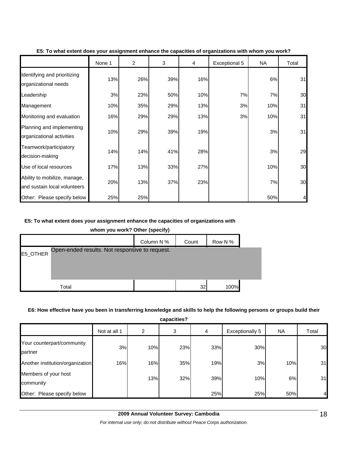|                                                              | None 1 | 2   | 3   | 4   | Exceptional 5 | <b>NA</b> | Total |
|--------------------------------------------------------------|--------|-----|-----|-----|---------------|-----------|-------|
| Identifying and prioritizing<br>organizational needs         | 13%    | 26% | 39% | 16% |               | 6%        | 31    |
| Leadership                                                   | 3%     | 23% | 50% | 10% | 7%            | 7%        | 30    |
| Management                                                   | 10%    | 35% | 29% | 13% | 3%            | 10%       | 31    |
| Monitoring and evaluation                                    | 16%    | 29% | 29% | 13% | 3%            | 10%       | 31    |
| Planning and implementing<br>organizational activities       | 10%    | 29% | 39% | 19% |               | 3%        | 31    |
| Teamwork/participatory<br>decision-making                    | 14%    | 14% | 41% | 28% |               | 3%        | 29    |
| Use of local resources                                       | 17%    | 13% | 33% | 27% |               | 10%       | 30    |
| Ability to mobilize, manage,<br>and sustain local volunteers | 20%    | 13% | 37% | 23% |               | 7%        | 30    |
| Other: Please specify below                                  | 25%    | 25% |     |     |               | 50%       | 4     |

#### **E5: To what extent does your assignment enhance the capacities of organizations with whom you work?**

#### **E5: To what extent does your assignment enhance the capacities of organizations with**

**whom you work? Other (specify)**

|          |                                                | Column N % | Count | Row N % |  |
|----------|------------------------------------------------|------------|-------|---------|--|
| E5_OTHER | Open-ended results. Not responsive to request. |            |       |         |  |
|          |                                                |            |       |         |  |
|          |                                                |            |       |         |  |
|          | Total                                          |            | 32    | 100%    |  |

#### **E6: How effective have you been in transferring knowledge and skills to help the following persons or groups build their**

**capacities?**

h

|                                       | Not at all 1 | 2   | 3   | 4   | <b>Exceptionally 5</b> | <b>NA</b> | Total |
|---------------------------------------|--------------|-----|-----|-----|------------------------|-----------|-------|
| Your counterpart/community<br>partner | 3%           | 10% | 23% | 33% | 30%                    |           | 30    |
| Another institution/organization      | 16%          | 16% | 35% | 19% | 3%                     | 10%       | 31    |
| Members of your host<br>community     |              | 13% | 32% | 39% | 10%                    | 6%        | 31    |
| Other: Please specify below           |              |     |     | 25% | 25%                    | 50%       |       |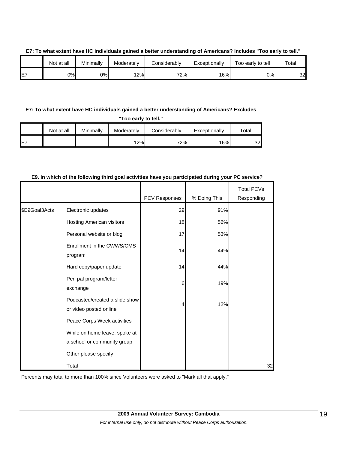|     | Not at all | Minimally | Moderatelv | Considerably | Exceptionally | Too early to tell | Total |
|-----|------------|-----------|------------|--------------|---------------|-------------------|-------|
| IE7 | 0%I        | 0%        | 12%        | 72%          | 16%           | 0%l               | 32    |

#### **E7: To what extent have HC individuals gained a better understanding of Americans? Includes "Too early to tell."**

### **E7: To what extent have HC individuals gained a better understanding of Americans? Excludes**

**"Too early to tell."**

|                 | Not at all | Minimally | Moderately | Considerably | Exceptionally | $\tau$ otal |
|-----------------|------------|-----------|------------|--------------|---------------|-------------|
| IE <sub>7</sub> |            |           | 12%        | 72%          | 16%           | 32          |

#### **E9. In which of the following third goal activities have you participated during your PC service?**

|               |                                                              | PCV Responses | % Doing This | <b>Total PCVs</b><br>Responding |
|---------------|--------------------------------------------------------------|---------------|--------------|---------------------------------|
| \$E9Goal3Acts | Electronic updates                                           | 29            | 91%          |                                 |
|               | Hosting American visitors                                    | 18            | 56%          |                                 |
|               | Personal website or blog                                     | 17            | 53%          |                                 |
|               | Enrollment in the CWWS/CMS<br>program                        | 14            | 44%          |                                 |
|               | Hard copy/paper update                                       | 14            | 44%          |                                 |
|               | Pen pal program/letter<br>exchange                           | 6             | 19%          |                                 |
|               | Podcasted/created a slide show<br>or video posted online     | 4             | 12%          |                                 |
|               | Peace Corps Week activities                                  |               |              |                                 |
|               | While on home leave, spoke at<br>a school or community group |               |              |                                 |
|               | Other please specify                                         |               |              |                                 |
|               | Total                                                        |               |              | 32                              |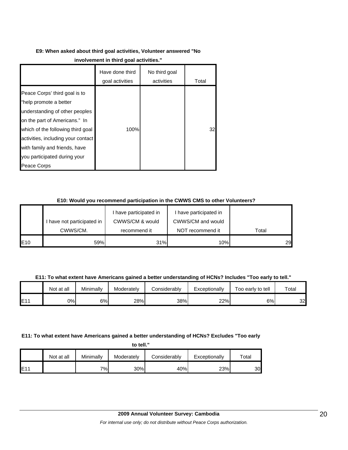## **E9: When asked about third goal activities, Volunteer answered "No**

|                                                                                                                                                                                                                                                                                       | Have done third<br>goal activities | No third goal<br>activities | Total |
|---------------------------------------------------------------------------------------------------------------------------------------------------------------------------------------------------------------------------------------------------------------------------------------|------------------------------------|-----------------------------|-------|
| Peace Corps' third goal is to<br>"help promote a better<br>understanding of other peoples<br>on the part of Americans." In<br>which of the following third goal<br>activities, including your contact<br>with family and friends, have<br>you participated during your<br>Peace Corps | 100%                               |                             | 32    |

## **E10: Would you recommend participation in the CWWS CMS to other Volunteers?**

|     |                            | have participated in | I have participated in |       |
|-----|----------------------------|----------------------|------------------------|-------|
|     | I have not participated in | CWWS/CM & would      | CWWS/CM and would      |       |
|     | CWWS/CM.                   | recommend it         | NOT recommend it       | Total |
| E10 | 59%                        | 31%                  | 10%                    | 29    |

**E11: To what extent have Americans gained a better understanding of HCNs? Includes "Too early to tell."**

|      | Not at all | Minimally | Moderately | Considerably | Exceptionally | Too early to tell | Total |
|------|------------|-----------|------------|--------------|---------------|-------------------|-------|
| IE11 | 0%         | 6%        | 28%        | 38%          | 22%           | 6%                | 32    |

## **E11: To what extent have Americans gained a better understanding of HCNs? Excludes "Too early**

**to tell."**

|     | Not at all | Minimally | Moderately | Considerably | Exceptionally | $\mathsf{^{To}tal}$ |
|-----|------------|-----------|------------|--------------|---------------|---------------------|
| E11 |            | 7%        | 30%        | 40%          | 23%           | 30.                 |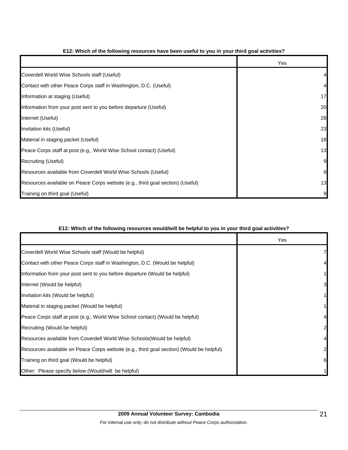|                                                                                | Yes |
|--------------------------------------------------------------------------------|-----|
| Coverdell World Wise Schools staff (Useful)                                    |     |
| Contact with other Peace Corps staff in Washington, D.C. (Useful)              |     |
| Information at staging (Useful)                                                | 17  |
| Information from your post sent to you before departure (Useful)               | 20  |
| Internet (Useful)                                                              | 28  |
| Invitation kits (Useful)                                                       | 23  |
| Material in staging packet (Useful)                                            | 18  |
| Peace Corps staff at post (e.g., World Wise School contact) (Useful)           | 13  |
| Recruiting (Useful)                                                            | 9   |
| Resources available from Coverdell World Wise Schools (Useful)                 | 6   |
| Resources available on Peace Corps website (e.g., third goal section) (Useful) | 13  |
| Training on third goal (Useful)                                                |     |

### **E12: Which of the following resources have been useful to you in your third goal activities?**

## **E12: Which of the following resources would/will be helpful to you in your third goal activities?**

|                                                                                          | Yes |
|------------------------------------------------------------------------------------------|-----|
| Coverdell World Wise Schools staff (Would be helpful)                                    |     |
| Contact with other Peace Corps staff in Washington, D.C. (Would be helpful)              |     |
| Information from your post sent to you before departure (Would be helpful)               |     |
| Internet (Would be helpful)                                                              | 3   |
| Invitation kits (Would be helpful)                                                       |     |
| Material in staging packet (Would be helpful)                                            |     |
| Peace Corps staff at post (e.g., World Wise School contact) (Would be helpful)           |     |
| Recruiting (Would be helpful)                                                            |     |
| Resources available from Coverdell World Wise Schools(Would be helpful)                  |     |
| Resources available on Peace Corps website (e.g., third goal section) (Would be helpful) |     |
| Training on third goal (Would be helpful)                                                | 6   |
| Other: Please specify below (Would/will be helpful)                                      |     |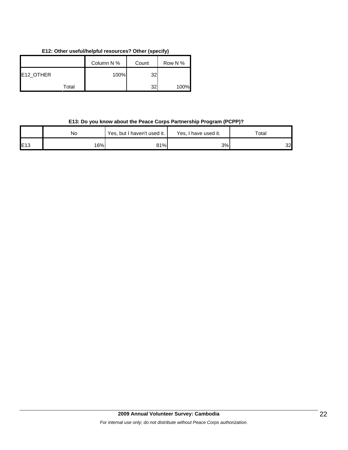## **E12: Other useful/helpful resources? Other (specify)**

|           | Column N % | Count | Row N % |
|-----------|------------|-------|---------|
| E12_OTHER | 100%       | 32    |         |
| Total     |            | 32    | 100%    |

## **E13: Do you know about the Peace Corps Partnership Program (PCPP)?**

|     | No  | Yes, but I haven't used it. | Yes, I have used it. | Total |  |
|-----|-----|-----------------------------|----------------------|-------|--|
| E13 | 16% | 81%                         | 3%                   | 32    |  |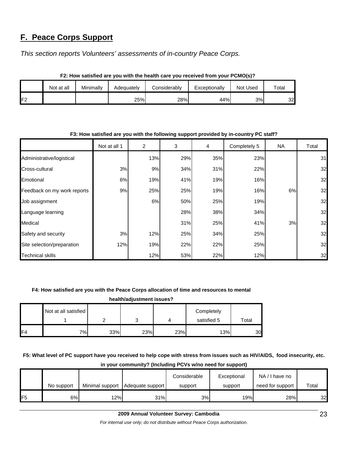## **F. Peace Corps Support**

*This section reports Volunteers' assessments of in-country Peace Corps.* 

|                | Not at all | Minimallv | Considerablv<br>Adequatelv |     | Exceptionally | Not Used |    |  |  |
|----------------|------------|-----------|----------------------------|-----|---------------|----------|----|--|--|
| F <sub>2</sub> |            |           | 25%                        | 28% | 44%           | 3%       | 32 |  |  |

#### **F2: How satisfied are you with the health care you received from your PCMO(s)?**

## Not at all 1 | 2 | 3 | 4 | Completely 5 | NA | Total Administrative/logistical | 13% 29% 35% 23% 23% 31 Cross-cultural 3% 9% 34% 31% 22% 32 Emotional 6% 19% 41% 19% 16% 32 Feedback on my work reports | 9% 9% 25% 25% 25% 19% 19% 16% 32 Job assignment 6% 50% 25% 19% 32 Language learning 28% 38% 34% 34% 32 Medical 31% 25% 41% 3% 32 Safety and security  $3\%$   $3\%$   $12\%$   $25\%$   $34\%$   $25\%$   $25\%$ Site selection/preparation 12% 19% 22% 22% 25% 32 Technical skills 12% 53% 22% 12% 32

#### **F3: How satisfied are you with the following support provided by in-country PC staff?**

## **F4: How satisfied are you with the Peace Corps allocation of time and resources to mental**

**health/adjustment issues?**

|    | Not at all satisfied |     |     |     | Completely  |       |
|----|----------------------|-----|-----|-----|-------------|-------|
|    |                      |     | ັ   |     | satisfied 5 | Total |
| F4 | 7%                   | 33% | 23% | 23% | 13%         | 30    |

**F5: What level of PC support have you received to help cope with stress from issues such as HIV/AIDS, food insecurity, etc.** 

|                |            |                 |                  | Considerable | Exceptional | NA/I have no     |       |
|----------------|------------|-----------------|------------------|--------------|-------------|------------------|-------|
|                | No support | Minimal support | Adequate support | support      | support     | need for support | Total |
| F <sub>5</sub> | 6%         | 12%             | 31%              | 3%           | 19%         | 28%              | 32    |

## **in your community? (Including PCVs w/no need for support)**

*For internal use only; do not distribute without Peace Corps authorization.*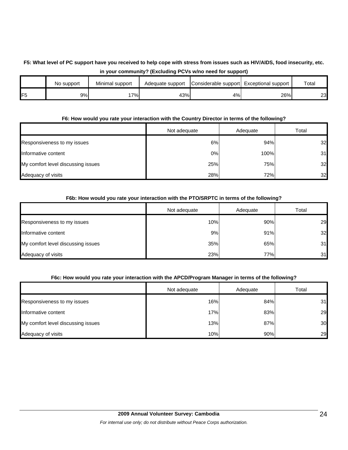## **F5: What level of PC support have you received to help cope with stress from issues such as HIV/AIDS, food insecurity, etc. in your community? (Excluding PCVs w/no need for support)**

|                 | No support | Minimal support | Adequate support | Considerable support Exceptional support |     | Total |
|-----------------|------------|-----------------|------------------|------------------------------------------|-----|-------|
| IF <sub>5</sub> | 9%         | 7%              | 43%              | 4%                                       | 26% | 23    |

## **F6: How would you rate your interaction with the Country Director in terms of the following?**

|                                    | Not adequate | Adequate | Total |
|------------------------------------|--------------|----------|-------|
| Responsiveness to my issues        | 6%           | 94%      | 32    |
| Informative content                | 0%           | 100%     | 31    |
| My comfort level discussing issues | 25%          | 75%      | 32    |
| Adequacy of visits                 | 28%          | 72%      | 32    |

## **F6b: How would you rate your interaction with the PTO/SRPTC in terms of the following?**

|                                    | Not adequate | Adequate | Total |
|------------------------------------|--------------|----------|-------|
| Responsiveness to my issues        | 10%          | 90%      | 29    |
| Informative content                | 9%           | 91%      | 32    |
| My comfort level discussing issues | 35%          | 65%      | 31    |
| Adequacy of visits                 | 23%          | 77%      | 31    |

## **F6c: How would you rate your interaction with the APCD/Program Manager in terms of the following?**

|                                    | Not adequate | Adequate | Total |
|------------------------------------|--------------|----------|-------|
| Responsiveness to my issues        | 16%          | 84%      | 31    |
| Informative content                | 17%          | 83%      | 29    |
| My comfort level discussing issues | 13%          | 87%      | 30    |
| Adequacy of visits                 | 10%          | 90%      | 29    |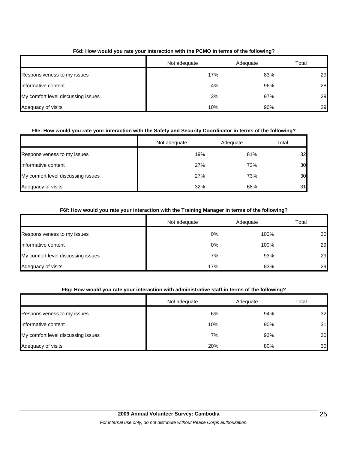|                                    | Not adequate | Adequate | Total |
|------------------------------------|--------------|----------|-------|
| Responsiveness to my issues        | 17%          | 83%      | 29    |
| Informative content                | 4%           | 96%      | 28    |
| My comfort level discussing issues | 3%           | 97%      | 29    |
| Adequacy of visits                 | 10%          | 90%      | 29    |

## **F6d: How would you rate your interaction with the PCMO in terms of the following?**

## **F6e: How would you rate your interaction with the Safety and Security Coordinator in terms of the following?**

|                                    | Not adequate | Adequate | Total |
|------------------------------------|--------------|----------|-------|
| Responsiveness to my issues        | 19%          | 81%      | 32    |
| Informative content                | 27%          | 73%      | 30    |
| My comfort level discussing issues | 27%          | 73%      | 30    |
| Adequacy of visits                 | 32%          | 68%      | 31    |

## **F6f: How would you rate your interaction with the Training Manager in terms of the following?**

|                                    | Not adequate | Adequate | Total |
|------------------------------------|--------------|----------|-------|
| Responsiveness to my issues        | 0%           | 100%     | 30    |
| Informative content                | 0%           | 100%     | 29    |
| My comfort level discussing issues | 7%           | 93%      | 29    |
| Adequacy of visits                 | 17%          | 83%      | 29    |

## **F6g: How would you rate your interaction with administrative staff in terms of the following?**

|                                    | Not adequate | Adequate | Total |
|------------------------------------|--------------|----------|-------|
| Responsiveness to my issues        | 6%           | 94%      | 32    |
| Informative content                | 10%          | 90%      | 31    |
| My comfort level discussing issues | 7%           | 93%      | 30    |
| Adequacy of visits                 | 20%          | 80%      | 30    |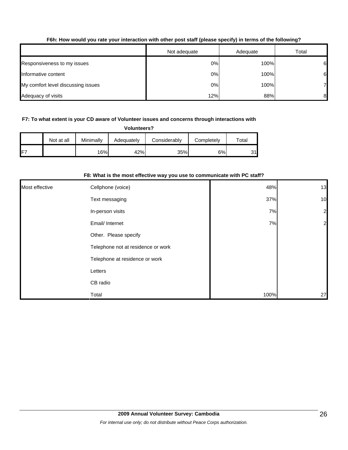## **F6h: How would you rate your interaction with other post staff (please specify) in terms of the following?**

|                                    | Not adequate | Adequate | Total |
|------------------------------------|--------------|----------|-------|
| Responsiveness to my issues        | 0%           | 100%     | 6     |
| Informative content                | 0%           | 100%     | 6     |
| My comfort level discussing issues | 0%           | 100%     | 7     |
| Adequacy of visits                 | 12%          | 88%      | 8     |

## **F7: To what extent is your CD aware of Volunteer issues and concerns through interactions with**

**Volunteers?**

|                 | Not at all | Minimally | Adequately | Considerablv | Completely | $\tau$ otal     |
|-----------------|------------|-----------|------------|--------------|------------|-----------------|
| IF <sup>7</sup> |            | 16%       | 42%        | 35%          | 6%         | 31 <sup>h</sup> |

#### **F8: What is the most effective way you use to communicate with PC staff?**

| Most effective | Cellphone (voice)                  | 48%  | 13             |
|----------------|------------------------------------|------|----------------|
|                | Text messaging                     | 37%  | 10             |
|                | In-person visits                   | 7%   | $\overline{a}$ |
|                | Email/ Internet                    | 7%   | $\overline{a}$ |
|                | Other. Please specify              |      |                |
|                | Telephone not at residence or work |      |                |
|                | Telephone at residence or work     |      |                |
|                | Letters                            |      |                |
|                | CB radio                           |      |                |
|                | Total                              | 100% | 27             |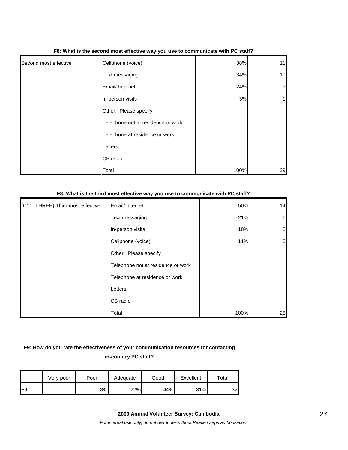|                       | . .                                |      |                |
|-----------------------|------------------------------------|------|----------------|
| Second most effective | Cellphone (voice)                  | 38%  | 11             |
|                       | Text messaging                     | 34%  | 10             |
|                       | Email/ Internet                    | 24%  | $\overline{7}$ |
|                       | In-person visits                   | 3%   | 1 <sub>h</sub> |
|                       | Other. Please specify              |      |                |
|                       | Telephone not at residence or work |      |                |
|                       | Telephone at residence or work     |      |                |
|                       | Letters                            |      |                |
|                       | CB radio                           |      |                |
|                       | Total                              | 100% | 29             |

#### **F8: What is the second most effective way you use to communicate with PC staff?**

#### **F8: What is the third most effective way you use to communicate with PC staff?**

| (C11_THREE) Third most effective | Email/ Internet                    | 50%  | 14              |
|----------------------------------|------------------------------------|------|-----------------|
|                                  | Text messaging                     | 21%  | $6\phantom{.}6$ |
|                                  | In-person visits                   | 18%  | $5\overline{a}$ |
|                                  | Cellphone (voice)                  | 11%  | 3               |
|                                  | Other. Please specify              |      |                 |
|                                  | Telephone not at residence or work |      |                 |
|                                  | Telephone at residence or work     |      |                 |
|                                  | Letters                            |      |                 |
|                                  | CB radio                           |      |                 |
|                                  | Total                              | 100% | 28              |

## **F9: How do you rate the effectiveness of your communication resources for contacting in-country PC staff?**

|                 | Very poor | Poor | Adequate | Good | Excellent | $\mathsf{^{To}tal}$ |
|-----------------|-----------|------|----------|------|-----------|---------------------|
| IF <sub>9</sub> |           | 3%   | 22%      | 44%  | 31%       | 32                  |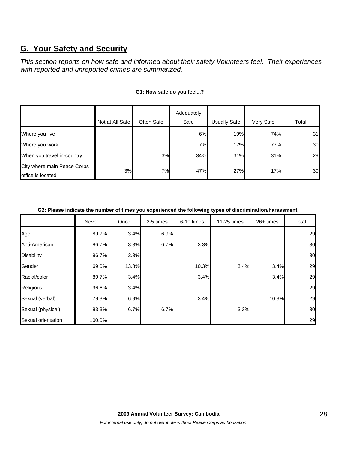## **G. Your Safety and Security**

*This section reports on how safe and informed about their safety Volunteers feel. Their experiences with reported and unreported crimes are summarized.* 

|                                                  |                 |            | Adequately |                     |           |       |
|--------------------------------------------------|-----------------|------------|------------|---------------------|-----------|-------|
|                                                  | Not at All Safe | Often Safe | Safe       | <b>Usually Safe</b> | Very Safe | Total |
| Where you live                                   |                 |            | 6%         | 19%                 | 74%       | 31    |
| Where you work                                   |                 |            | 7%         | 17%                 | 77%       | 30    |
| When you travel in-country                       |                 | 3%         | 34%        | 31%                 | 31%       | 29    |
| City where main Peace Corps<br>office is located | 3%              | 7%         | 47%        | 27%                 | 17%       | 30    |

## **G1: How safe do you feel...?**

#### **G2: Please indicate the number of times you experienced the following types of discrimination/harassment.**

|                    | Never  | Once  | 2-5 times | 6-10 times | 11-25 times | $26+$ times | Total |
|--------------------|--------|-------|-----------|------------|-------------|-------------|-------|
| Age                | 89.7%  | 3.4%  | 6.9%      |            |             |             | 29    |
| Anti-American      | 86.7%  | 3.3%  | 6.7%      | 3.3%       |             |             | 30    |
| <b>Disability</b>  | 96.7%  | 3.3%  |           |            |             |             | 30    |
| Gender             | 69.0%  | 13.8% |           | 10.3%      | 3.4%        | 3.4%        | 29    |
| Racial/color       | 89.7%  | 3.4%  |           | 3.4%       |             | 3.4%        | 29    |
| Religious          | 96.6%  | 3.4%  |           |            |             |             | 29    |
| Sexual (verbal)    | 79.3%  | 6.9%  |           | 3.4%       |             | 10.3%       | 29    |
| Sexual (physical)  | 83.3%  | 6.7%  | 6.7%      |            | 3.3%        |             | 30    |
| Sexual orientation | 100.0% |       |           |            |             |             | 29    |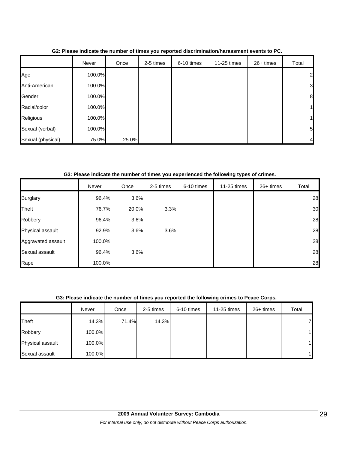|                   | Never  | Once  | 2-5 times | 6-10 times | 11-25 times | 26+ times | Total            |
|-------------------|--------|-------|-----------|------------|-------------|-----------|------------------|
| Age               | 100.0% |       |           |            |             |           | $\mathbf{2}$     |
| Anti-American     | 100.0% |       |           |            |             |           | $\overline{3}$   |
| Gender            | 100.0% |       |           |            |             |           | $\boldsymbol{8}$ |
| Racial/color      | 100.0% |       |           |            |             |           | 1 <sub>l</sub>   |
| Religious         | 100.0% |       |           |            |             |           | 1 <sub>l</sub>   |
| Sexual (verbal)   | 100.0% |       |           |            |             |           | $5\overline{)}$  |
| Sexual (physical) | 75.0%  | 25.0% |           |            |             |           | $\overline{4}$   |

**G2: Please indicate the number of times you reported discrimination/harassment events to PC.**

#### **G3: Please indicate the number of times you experienced the following types of crimes.**

|                    | Never  | Once  | 2-5 times | 6-10 times | 11-25 times | 26+ times | Total |
|--------------------|--------|-------|-----------|------------|-------------|-----------|-------|
| <b>Burglary</b>    | 96.4%  | 3.6%  |           |            |             |           | 28    |
| Theft              | 76.7%  | 20.0% | 3.3%      |            |             |           | 30    |
| Robbery            | 96.4%  | 3.6%  |           |            |             |           | 28    |
| Physical assault   | 92.9%  | 3.6%  | 3.6%      |            |             |           | 28    |
| Aggravated assault | 100.0% |       |           |            |             |           | 28    |
| Sexual assault     | 96.4%  | 3.6%  |           |            |             |           | 28    |
| Rape               | 100.0% |       |           |            |             |           | 28    |

## **G3: Please indicate the number of times you reported the following crimes to Peace Corps.**

|                  | Never  | Once  | 2-5 times | 6-10 times | 11-25 times | 26+ times | Total |
|------------------|--------|-------|-----------|------------|-------------|-----------|-------|
| Theft            | 14.3%  | 71.4% | 14.3%     |            |             |           |       |
| Robbery          | 100.0% |       |           |            |             |           |       |
| Physical assault | 100.0% |       |           |            |             |           |       |
| Sexual assault   | 100.0% |       |           |            |             |           |       |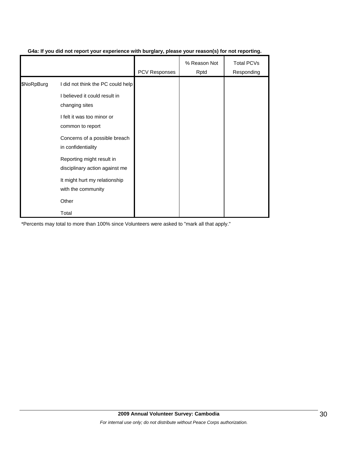|            |                                                             | <b>PCV Responses</b> | % Reason Not<br>Rptd | <b>Total PCVs</b><br>Responding |
|------------|-------------------------------------------------------------|----------------------|----------------------|---------------------------------|
| \$NoRpBurg | I did not think the PC could help                           |                      |                      |                                 |
|            | I believed it could result in<br>changing sites             |                      |                      |                                 |
|            | I felt it was too minor or<br>common to report              |                      |                      |                                 |
|            | Concerns of a possible breach<br>in confidentiality         |                      |                      |                                 |
|            | Reporting might result in<br>disciplinary action against me |                      |                      |                                 |
|            | It might hurt my relationship<br>with the community         |                      |                      |                                 |
|            | Other                                                       |                      |                      |                                 |
|            | Total                                                       |                      |                      |                                 |

### **G4a: If you did not report your experience with burglary, please your reason(s) for not reporting.**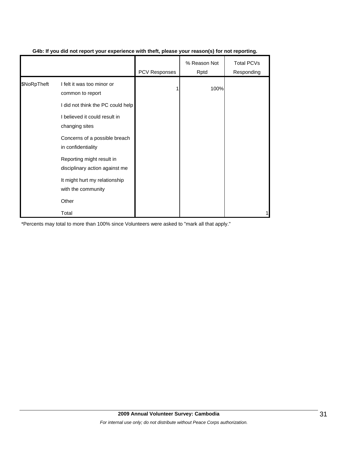|             |                                                                                                                      | PCV Responses | % Reason Not<br>Rptd | Total PCVs<br>Responding |
|-------------|----------------------------------------------------------------------------------------------------------------------|---------------|----------------------|--------------------------|
| \$NoRpTheft | I felt it was too minor or<br>common to report<br>I did not think the PC could help<br>I believed it could result in |               | 100%                 |                          |
|             | changing sites<br>Concerns of a possible breach<br>in confidentiality                                                |               |                      |                          |
|             | Reporting might result in<br>disciplinary action against me<br>It might hurt my relationship                         |               |                      |                          |
|             | with the community<br>Other<br>Total                                                                                 |               |                      |                          |

## **G4b: If you did not report your experience with theft, please your reason(s) for not reporting.**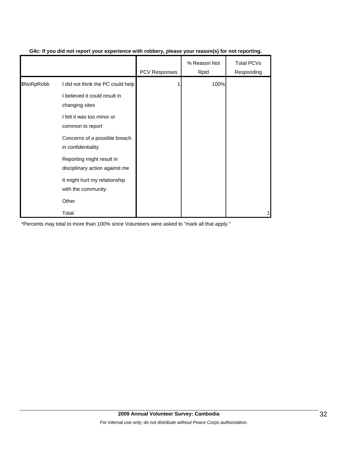|            |                                                             | <b>PCV Responses</b> | % Reason Not<br>Rptd | <b>Total PCVs</b><br>Responding |
|------------|-------------------------------------------------------------|----------------------|----------------------|---------------------------------|
| \$NoRpRobb | I did not think the PC could help                           |                      | 100%                 |                                 |
|            | I believed it could result in<br>changing sites             |                      |                      |                                 |
|            | I felt it was too minor or<br>common to report              |                      |                      |                                 |
|            | Concerns of a possible breach<br>in confidentiality         |                      |                      |                                 |
|            | Reporting might result in<br>disciplinary action against me |                      |                      |                                 |
|            | It might hurt my relationship<br>with the community         |                      |                      |                                 |
|            | Other                                                       |                      |                      |                                 |
|            | Total                                                       |                      |                      |                                 |

## **G4c: If you did not report your experience with robbery, please your reason(s) for not reporting.**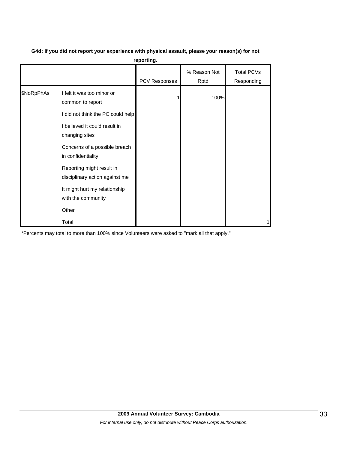|            |                                                                                     | reporting.    |                      |                                 |
|------------|-------------------------------------------------------------------------------------|---------------|----------------------|---------------------------------|
|            |                                                                                     | PCV Responses | % Reason Not<br>Rptd | <b>Total PCVs</b><br>Responding |
| \$NoRpPhAs | I felt it was too minor or<br>common to report<br>I did not think the PC could help |               | 100%                 |                                 |
|            | I believed it could result in<br>changing sites                                     |               |                      |                                 |
|            | Concerns of a possible breach<br>in confidentiality                                 |               |                      |                                 |
|            | Reporting might result in<br>disciplinary action against me                         |               |                      |                                 |
|            | It might hurt my relationship<br>with the community                                 |               |                      |                                 |
|            | Other                                                                               |               |                      |                                 |
|            | Total                                                                               |               |                      | 1                               |

## **G4d: If you did not report your experience with physical assault, please your reason(s) for not**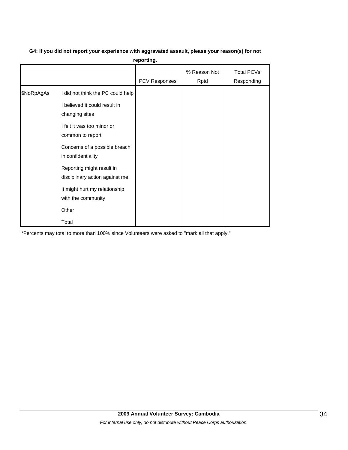**G4: If you did not report your experience with aggravated assault, please your reason(s) for not** 

**reporting.**

|            |                                                                                                                                                                                               | PCV Responses | % Reason Not<br>Rptd | <b>Total PCVs</b><br>Responding |
|------------|-----------------------------------------------------------------------------------------------------------------------------------------------------------------------------------------------|---------------|----------------------|---------------------------------|
| \$NoRpAgAs | I did not think the PC could help<br>I believed it could result in<br>changing sites<br>I felt it was too minor or<br>common to report<br>Concerns of a possible breach<br>in confidentiality |               |                      |                                 |
|            | Reporting might result in<br>disciplinary action against me<br>It might hurt my relationship<br>with the community<br>Other<br>Total                                                          |               |                      |                                 |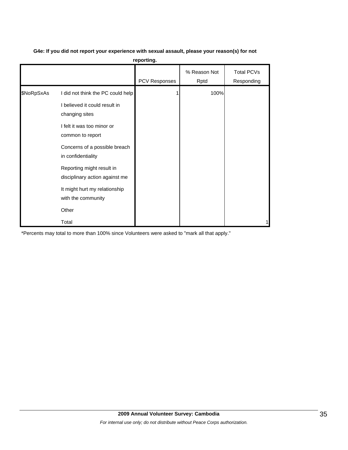|  | G4e: If you did not report your experience with sexual assault, please your reason(s) for not |  |
|--|-----------------------------------------------------------------------------------------------|--|
|--|-----------------------------------------------------------------------------------------------|--|

**reporting.**

|            |                                                                                                                                                                                                                                                                                                                     | PCV Responses | % Reason Not<br>Rptd | <b>Total PCVs</b><br>Responding |
|------------|---------------------------------------------------------------------------------------------------------------------------------------------------------------------------------------------------------------------------------------------------------------------------------------------------------------------|---------------|----------------------|---------------------------------|
| \$NoRpSxAs | I did not think the PC could help<br>I believed it could result in<br>changing sites<br>I felt it was too minor or<br>common to report<br>Concerns of a possible breach<br>in confidentiality<br>Reporting might result in<br>disciplinary action against me<br>It might hurt my relationship<br>with the community |               | 100%                 |                                 |
|            | Other<br>Total                                                                                                                                                                                                                                                                                                      |               |                      |                                 |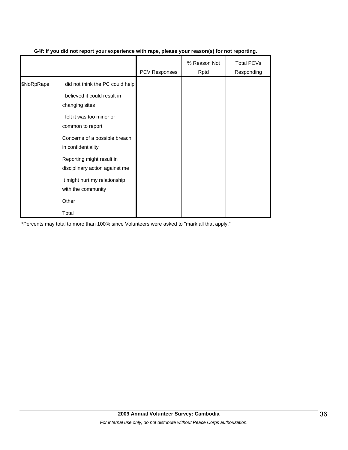|            |                                                             | <b>PCV Responses</b> | % Reason Not<br>Rptd | Total PCVs<br>Responding |
|------------|-------------------------------------------------------------|----------------------|----------------------|--------------------------|
| \$NoRpRape | I did not think the PC could help                           |                      |                      |                          |
|            | I believed it could result in<br>changing sites             |                      |                      |                          |
|            | I felt it was too minor or<br>common to report              |                      |                      |                          |
|            | Concerns of a possible breach<br>in confidentiality         |                      |                      |                          |
|            | Reporting might result in<br>disciplinary action against me |                      |                      |                          |
|            | It might hurt my relationship<br>with the community         |                      |                      |                          |
|            | Other                                                       |                      |                      |                          |
|            | Total                                                       |                      |                      |                          |

## **G4f: If you did not report your experience with rape, please your reason(s) for not reporting.**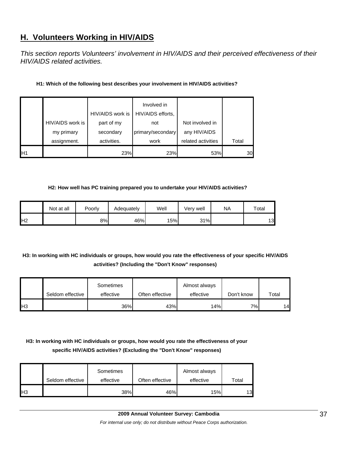## **H. Volunteers Working in HIV/AIDS**

*This section reports Volunteers' involvement in HIV/AIDS and their perceived effectiveness of their HIV/AIDS related activities.* 

#### **H1: Which of the following best describes your involvement in HIV/AIDS activities?**

|                |                                | HIV/AIDS work is        | Involved in<br>HIV/AIDS efforts, |                                 |       |
|----------------|--------------------------------|-------------------------|----------------------------------|---------------------------------|-------|
|                | HIV/AIDS work is<br>my primary | part of my<br>secondary | not<br>primary/secondary         | Not involved in<br>any HIV/AIDS |       |
|                | assignment.                    | activities.             | work                             | related activities              | Total |
| H <sub>1</sub> |                                | 23%                     | 23%                              | 53%                             | 30    |

#### **H2: How well has PC training prepared you to undertake your HIV/AIDS activities?**

|                | Not at all | Poorly | Adequately | Well | Very well | <b>NA</b> | Total |
|----------------|------------|--------|------------|------|-----------|-----------|-------|
| H <sub>2</sub> |            | 8%     | 46%        | 15%  | 31%       |           | 13    |

## **H3: In working with HC individuals or groups, how would you rate the effectiveness of your specific HIV/AIDS activities? (Including the "Don't Know" responses)**

|            |                  | Sometimes |                 | Almost always |            |       |
|------------|------------------|-----------|-----------------|---------------|------------|-------|
|            | Seldom effective | effective | Often effective | effective     | Don't know | Total |
| <b>IH3</b> |                  | 36%       | 43%             | 14%           | 7%         | 14    |

## **H3: In working with HC individuals or groups, how would you rate the effectiveness of your specific HIV/AIDS activities? (Excluding the "Don't Know" responses)**

|     | Seldom effective | Sometimes<br>effective | Often effective | Almost always<br>effective | $\mathsf{^\tau}\mathsf{otal}$ |
|-----|------------------|------------------------|-----------------|----------------------------|-------------------------------|
| IH3 |                  | 38%                    | 46%             | 15%                        | 13                            |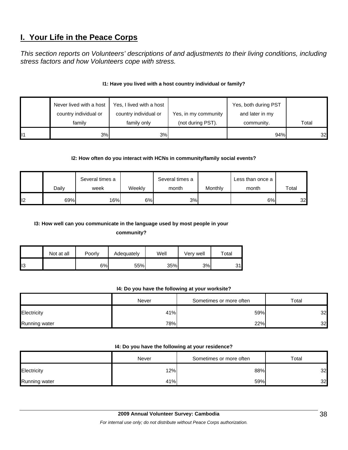## **I. Your Life in the Peace Corps**

*This section reports on Volunteers' descriptions of and adjustments to their living conditions, including stress factors and how Volunteers cope with stress.* 

## **I1: Have you lived with a host country individual or family?**

|     | Never lived with a host | Yes, I lived with a host |                      | Yes, both during PST |       |
|-----|-------------------------|--------------------------|----------------------|----------------------|-------|
|     | country individual or   | country individual or    | Yes, in my community | and later in my      |       |
|     | family                  | family only              | (not during PST).    | community.           | Total |
| ll1 | 3%                      | 3%                       |                      | 94%                  | 32    |

## **I2: How often do you interact with HCNs in community/family social events?**

|     |       | Several times a |        | Several times a |         | Less than once a |       |
|-----|-------|-----------------|--------|-----------------|---------|------------------|-------|
|     | Dailv | week            | Weekly | month           | Monthly | month            | Total |
| II2 | 69%   | 16%             | 6%     | 3%              |         | 6%               | 32    |

## **I3: How well can you communicate in the language used by most people in your**

**community?** 

|     | Not at all | Poorly | Adequately | Well | Very well | Total |
|-----|------------|--------|------------|------|-----------|-------|
| ll3 |            | 6%     | 55%        | 35%  | 3%        | 31    |

#### **I4: Do you have the following at your worksite?**

|                      | Never | Sometimes or more often | Total |
|----------------------|-------|-------------------------|-------|
| Electricity          | 41%   | 59%                     | 32    |
| <b>Running water</b> | 78%   | 22%                     | 32    |

#### **I4: Do you have the following at your residence?**

|               | Never | Sometimes or more often | Total |
|---------------|-------|-------------------------|-------|
| Electricity   | 12%   | 88%                     | 32    |
| Running water | 41%   | 59%                     | 32    |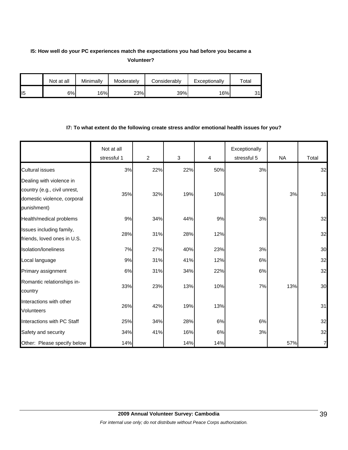## **I5: How well do your PC experiences match the expectations you had before you became a Volunteer?**

|                 | Not at all | Minimally | Moderately | Considerably | Exceptionally | $\tau$ otal |
|-----------------|------------|-----------|------------|--------------|---------------|-------------|
| II <sub>5</sub> | 6%         | 16%       | 23%        | 39%          | 16%           | 31I         |

### **I7: To what extent do the following create stress and/or emotional health issues for you?**

|                                                                                                        | Not at all<br>stressful 1 | $\overline{2}$ | $\sqrt{3}$ | $\overline{\mathbf{4}}$ | Exceptionally<br>stressful 5 | <b>NA</b> | Total |
|--------------------------------------------------------------------------------------------------------|---------------------------|----------------|------------|-------------------------|------------------------------|-----------|-------|
| <b>Cultural issues</b>                                                                                 | 3%                        | 22%            | 22%        | 50%                     | 3%                           |           | 32    |
| Dealing with violence in<br>country (e.g., civil unrest,<br>domestic violence, corporal<br>punishment) | 35%                       | 32%            | 19%        | 10%                     |                              | 3%        | 31    |
| Health/medical problems                                                                                | 9%                        | 34%            | 44%        | 9%                      | 3%                           |           | 32    |
| Issues including family,<br>friends, loved ones in U.S.                                                | 28%                       | 31%            | 28%        | 12%                     |                              |           | 32    |
| <b>Isolation/Ioneliness</b>                                                                            | 7%                        | 27%            | 40%        | 23%                     | 3%                           |           | 30    |
| Local language                                                                                         | 9%                        | 31%            | 41%        | 12%                     | 6%                           |           | 32    |
| Primary assignment                                                                                     | 6%                        | 31%            | 34%        | 22%                     | 6%                           |           | 32    |
| Romantic relationships in-<br>country                                                                  | 33%                       | 23%            | 13%        | 10%                     | 7%                           | 13%       | 30    |
| Interactions with other<br><b>Volunteers</b>                                                           | 26%                       | 42%            | 19%        | 13%                     |                              |           | 31    |
| Interactions with PC Staff                                                                             | 25%                       | 34%            | 28%        | 6%                      | 6%                           |           | 32    |
| Safety and security                                                                                    | 34%                       | 41%            | 16%        | 6%                      | 3%                           |           | 32    |
| Other: Please specify below                                                                            | 14%                       |                | 14%        | 14%                     |                              | 57%       | 7     |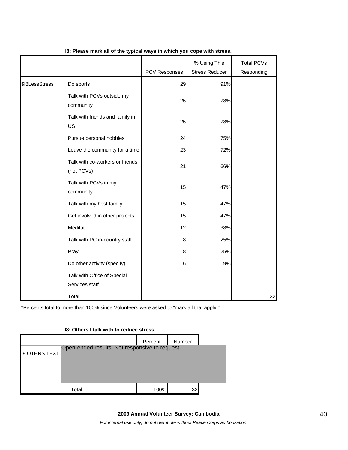|                |                                               | <b>PCV Responses</b> | % Using This<br><b>Stress Reducer</b> | <b>Total PCVs</b><br>Responding |
|----------------|-----------------------------------------------|----------------------|---------------------------------------|---------------------------------|
| \$I8LessStress | Do sports                                     | 29                   | 91%                                   |                                 |
|                | Talk with PCVs outside my<br>community        | 25                   | 78%                                   |                                 |
|                | Talk with friends and family in<br>US         | 25                   | 78%                                   |                                 |
|                | Pursue personal hobbies                       | 24                   | 75%                                   |                                 |
|                | Leave the community for a time                | 23                   | 72%                                   |                                 |
|                | Talk with co-workers or friends<br>(not PCVs) | 21                   | 66%                                   |                                 |
|                | Talk with PCVs in my<br>community             | 15                   | 47%                                   |                                 |
|                | Talk with my host family                      | 15                   | 47%                                   |                                 |
|                | Get involved in other projects                | 15                   | 47%                                   |                                 |
|                | Meditate                                      | 12                   | 38%                                   |                                 |
|                | Talk with PC in-country staff                 | 8                    | 25%                                   |                                 |
|                | Pray                                          | 8                    | 25%                                   |                                 |
|                | Do other activity (specify)                   | 6                    | 19%                                   |                                 |
|                | Talk with Office of Special<br>Services staff |                      |                                       |                                 |
|                | Total                                         |                      |                                       | 32                              |

## **I8: Please mark all of the typical ways in which you cope with stress.**

\*Percents total to more than 100% since Volunteers were asked to "mark all that apply."

# **I8: Others I talk with to reduce stress** Percent Number I8.OTHRS.TEXT Total 100% 32 Open-ended results. Not responsive to request.

## **2009 Annual Volunteer Survey: Cambodia**  *For internal use only; do not distribute without Peace Corps authorization.*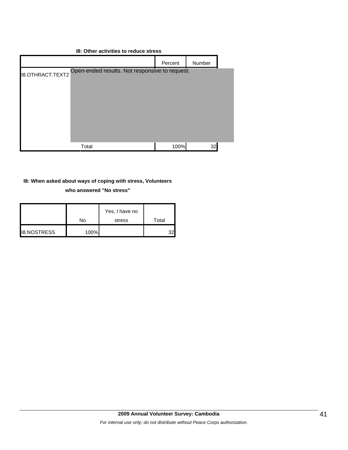#### **I8: Other activities to reduce stress**



#### **I8: When asked about ways of coping with stress, Volunteers**

**who answered "No stress"** 

|                    |      | Yes, I have no |       |
|--------------------|------|----------------|-------|
|                    | No   | stress         | Total |
| <b>IB.NOSTRESS</b> | 100% |                | 32    |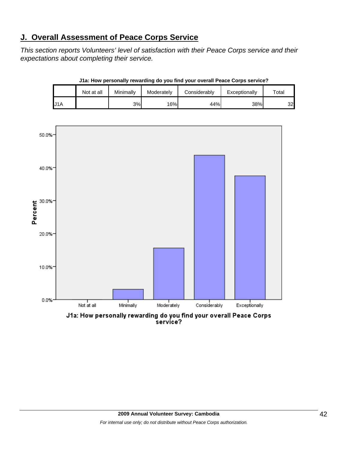## **J. Overall Assessment of Peace Corps Service**

*This section reports Volunteers' level of satisfaction with their Peace Corps service and their expectations about completing their service.* 

|     | Not at all | Minimally | Moderately | Considerably | Exceptionally | $\tau$ otal |
|-----|------------|-----------|------------|--------------|---------------|-------------|
| J1A |            | 3%        | 16%        | 44%          | 38%           | 32          |

**J1a: How personally rewarding do you find your overall Peace Corps service?**



service?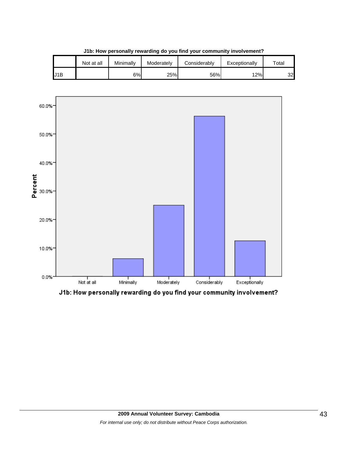|     | Not at all | Minimally | Moderately | Considerably | Exceptionally | $\tau$ otal |
|-----|------------|-----------|------------|--------------|---------------|-------------|
| J1B |            | 6%        | 25%        | 56%          | 12%           | 32          |

**J1b: How personally rewarding do you find your community involvement?**



J1b: How personally rewarding do you find your community involvement?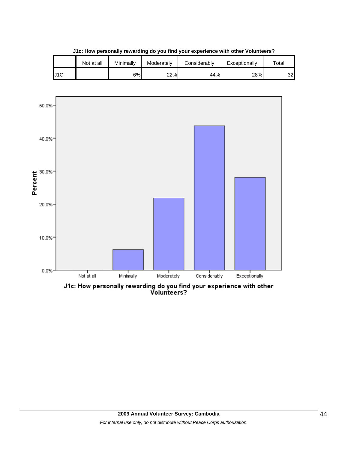|     | Not at all | Minimally | Moderately | Considerablv | Exceptionally | $\tau$ otal |
|-----|------------|-----------|------------|--------------|---------------|-------------|
| J1C |            | 6%        | 22%        | 44%          | 28%           | 32          |

**J1c: How personally rewarding do you find your experience with other Volunteers?**



J1c: How personally rewarding do you find your experience with other<br>Volunteers?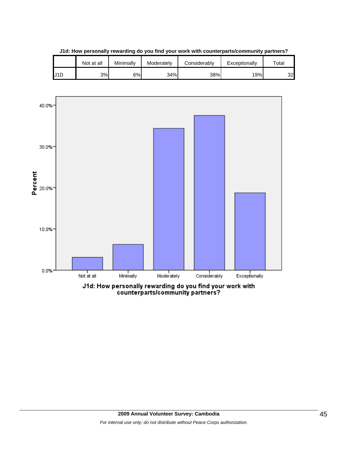

**J1d: How personally rewarding do you find your work with counterparts/community partners?**

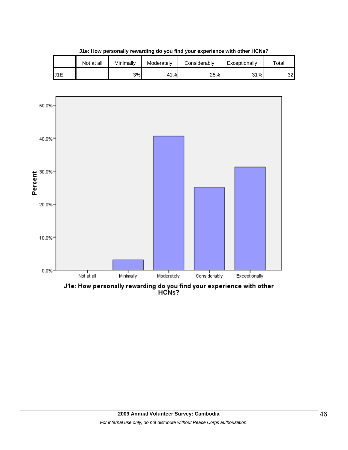

**J1e: How personally rewarding do you find your experience with other HCNs?**

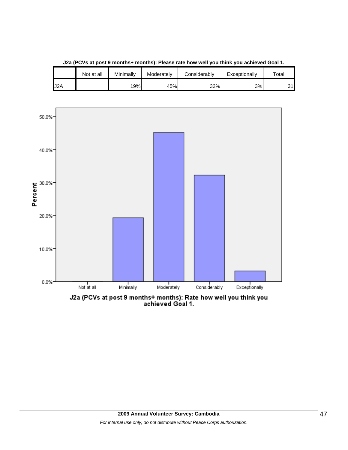

**J2a (PCVs at post 9 months+ months): Please rate how well you think you achieved Goal 1.**

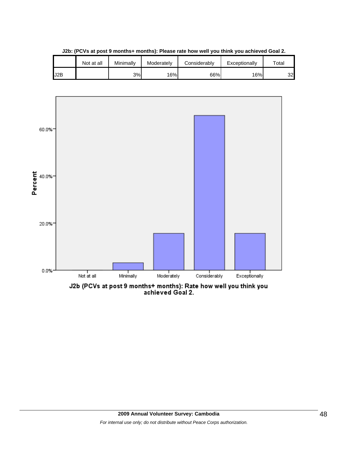|     | Not at all | Minimally | Moderately | Considerablv | Exceptionally | $\tau$ otal |
|-----|------------|-----------|------------|--------------|---------------|-------------|
| J2B |            | 3%        | 16%        | 66%          | 16%           | 32          |

**J2b: (PCVs at post 9 months+ months): Please rate how well you think you achieved Goal 2.**

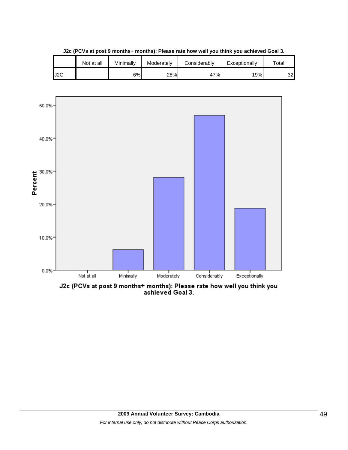|     | Not at all | Minimally | Moderately | Considerably | Exceptionally | $\tau$ otai |
|-----|------------|-----------|------------|--------------|---------------|-------------|
| J2C |            | 6%        | 28%        | 47%          | 19%           | 32          |

**J2c (PCVs at post 9 months+ months): Please rate how well you think you achieved Goal 3.**



J2c (PCVs at post 9 months+ months): Please rate how well you think you<br>achieved Goal 3.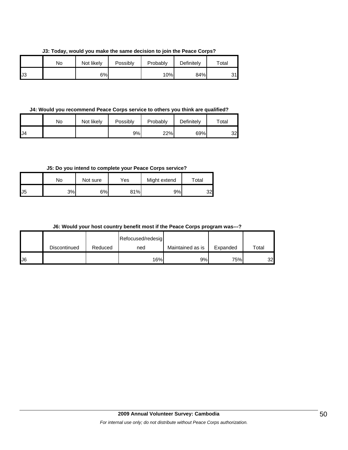**J3: Today, would you make the same decision to join the Peace Corps?**

|    | No | Not likely | Possibly | Probably | Definitely | $\tau$ otal |
|----|----|------------|----------|----------|------------|-------------|
| J3 |    | 6%         |          | 10%      | 84%        | <b>D</b> 41 |

#### **J4: Would you recommend Peace Corps service to others you think are qualified?**

|     | No | Not likely | Possibly | Probably | Definitely | $\tau$ otal |
|-----|----|------------|----------|----------|------------|-------------|
| IJ4 |    |            | 9%       | 22%      | 69%        | 32          |

## **J5: Do you intend to complete your Peace Corps service?**

|     | No | Not sure | Yes | Might extend | Total |
|-----|----|----------|-----|--------------|-------|
| IJ5 | 3% | 6%       | 81% | 9%           | 32    |

#### **J6: Would your host country benefit most if the Peace Corps program was---?**

|    |              |         | Refocused/redesig |                  |          |       |
|----|--------------|---------|-------------------|------------------|----------|-------|
|    | Discontinued | Reduced | ned               | Maintained as is | Expanded | Total |
| J6 |              |         | 16%               | 9%               | 75%      | 32    |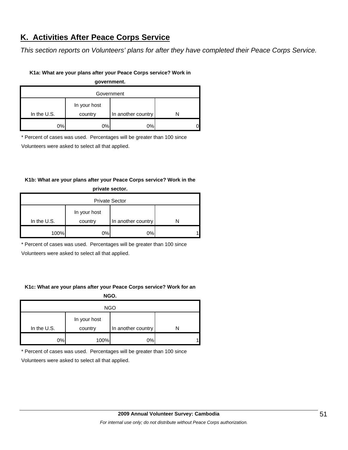## **K. Activities After Peace Corps Service**

*This section reports on Volunteers' plans for after they have completed their Peace Corps Service.* 

#### **K1a: What are your plans after your Peace Corps service? Work in**

**government.**

| Government  |                         |                    |  |  |  |
|-------------|-------------------------|--------------------|--|--|--|
| In the U.S. | In your host<br>country | In another country |  |  |  |
| 2%          | $0\%$                   | 0%                 |  |  |  |

\* Percent of cases was used. Percentages will be greater than 100 since

Volunteers were asked to select all that applied.

## **K1b: What are your plans after your Peace Corps service? Work in the private sector.**

| <b>Private Sector</b> |                         |                    |  |  |  |
|-----------------------|-------------------------|--------------------|--|--|--|
| In the U.S.           | In your host<br>country | In another country |  |  |  |
|                       |                         |                    |  |  |  |
| 100%                  | 0%                      | 0%                 |  |  |  |

\* Percent of cases was used. Percentages will be greater than 100 since

Volunteers were asked to select all that applied.

## **K1c: What are your plans after your Peace Corps service? Work for an**

**NGO.**

| <b>NGO</b>  |                         |                    |   |  |  |  |
|-------------|-------------------------|--------------------|---|--|--|--|
| In the U.S. | In your host<br>country | In another country |   |  |  |  |
| 0%          | 100%                    | 0%                 | л |  |  |  |

\* Percent of cases was used. Percentages will be greater than 100 since

Volunteers were asked to select all that applied.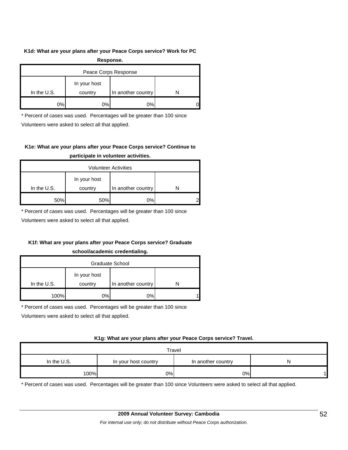#### **K1d: What are your plans after your Peace Corps service? Work for PC**

| Response.            |              |                    |  |  |  |  |
|----------------------|--------------|--------------------|--|--|--|--|
| Peace Corps Response |              |                    |  |  |  |  |
|                      | In your host |                    |  |  |  |  |
| In the $U.S.$        | country      | In another country |  |  |  |  |
| 0%                   | 0%           | 0%                 |  |  |  |  |

\* Percent of cases was used. Percentages will be greater than 100 since

Volunteers were asked to select all that applied.

## **K1e: What are your plans after your Peace Corps service? Continue to participate in volunteer activities.**

| <b>Volunteer Activities</b> |         |                    |  |  |  |  |
|-----------------------------|---------|--------------------|--|--|--|--|
| In your host                |         |                    |  |  |  |  |
| In the $U.S.$               | country | In another country |  |  |  |  |
| 50%                         | 50%     | 0%                 |  |  |  |  |

\* Percent of cases was used. Percentages will be greater than 100 since

Volunteers were asked to select all that applied.

## **K1f: What are your plans after your Peace Corps service? Graduate**

#### **school/academic credentialing.**

| Graduate School |              |                    |  |  |  |  |
|-----------------|--------------|--------------------|--|--|--|--|
|                 | In your host |                    |  |  |  |  |
| In the $U.S.$   | country      | In another country |  |  |  |  |
| 100%            | 0%           | 0%                 |  |  |  |  |

\* Percent of cases was used. Percentages will be greater than 100 since

Volunteers were asked to select all that applied.

#### **K1g: What are your plans after your Peace Corps service? Travel.**

| Travel        |                      |                    |  |  |  |  |
|---------------|----------------------|--------------------|--|--|--|--|
| In the $U.S.$ | In your host country | In another country |  |  |  |  |
| 100%          | 0%                   | 0%                 |  |  |  |  |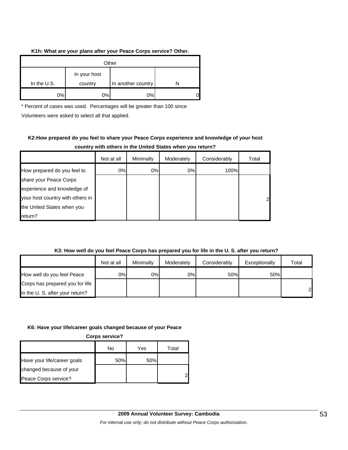#### **K1h: What are your plans after your Peace Corps service? Other.**

| Other       |                         |                    |  |  |  |
|-------------|-------------------------|--------------------|--|--|--|
| In the U.S. | In your host<br>country | In another country |  |  |  |
| 0%          | 0%                      | 0%                 |  |  |  |

\* Percent of cases was used. Percentages will be greater than 100 since

Volunteers were asked to select all that applied.

## **K2:How prepared do you feel to share your Peace Corps experience and knowledge of your host country with others in the United States when you return?**

|                                  | Not at all | Minimally | Moderately | Considerably | Total        |
|----------------------------------|------------|-----------|------------|--------------|--------------|
| How prepared do you feel to      | 0%         | 0%        | $0\%$      | 100%         |              |
| share your Peace Corps           |            |           |            |              |              |
| experience and knowledge of      |            |           |            |              |              |
| your host country with others in |            |           |            |              | $\mathbf{2}$ |
| the United States when you       |            |           |            |              |              |
| return?                          |            |           |            |              |              |

## **K3: How well do you feel Peace Corps has prepared you for life in the U. S. after you return?**

|                                 | Not at all | Minimally | Moderately | Considerably | Exceptionally | Total          |
|---------------------------------|------------|-----------|------------|--------------|---------------|----------------|
| How well do you feel Peace      | 0%I        | 0%        | 0%         | 50%          | 50%           |                |
| Corps has prepared you for life |            |           |            |              |               |                |
| in the U. S. after your return? |            |           |            |              |               | $\overline{2}$ |

#### **K6: Have your life/career goals changed because of your Peace**

**Corps service?**

|                             | No  | Yes | Total |
|-----------------------------|-----|-----|-------|
| Have your life/career goals | 50% | 50% |       |
| changed because of your     |     |     |       |
| Peace Corps service?        |     |     |       |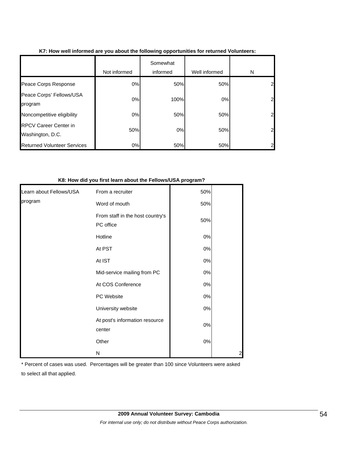|                                                  | Not informed | Somewhat<br>informed | Well informed | N              |
|--------------------------------------------------|--------------|----------------------|---------------|----------------|
| Peace Corps Response                             | 0%           | 50%                  | 50%           | $\mathbf{2}$   |
| Peace Corps' Fellows/USA<br>program              | 0%           | 100%                 | 0%            | $\mathbf{2}$   |
| Noncompetitive eligibility                       | 0%           | 50%                  | 50%           | $\mathbf{2}$   |
| <b>RPCV Career Center in</b><br>Washington, D.C. | 50%          | 0%                   | 50%           | $\mathbf{2}$   |
| <b>Returned Volunteer Services</b>               | 0%           | 50%                  | 50%           | $\overline{2}$ |

### **K7: How well informed are you about the following opportunities for returned Volunteers:**

#### **K8: How did you first learn about the Fellows/USA program?**

| Learn about Fellows/USA | From a recruiter                              | 50%   |  |
|-------------------------|-----------------------------------------------|-------|--|
| program                 | Word of mouth                                 | 50%   |  |
|                         | From staff in the host country's<br>PC office | 50%   |  |
|                         | Hotline                                       | $0\%$ |  |
|                         | At PST                                        | $0\%$ |  |
|                         | At IST                                        | $0\%$ |  |
|                         | Mid-service mailing from PC                   | $0\%$ |  |
|                         | At COS Conference                             | $0\%$ |  |
|                         | PC Website                                    | $0\%$ |  |
|                         | University website                            | $0\%$ |  |
|                         | At post's information resource<br>center      | $0\%$ |  |
|                         | Other                                         | $0\%$ |  |
|                         | Ν                                             |       |  |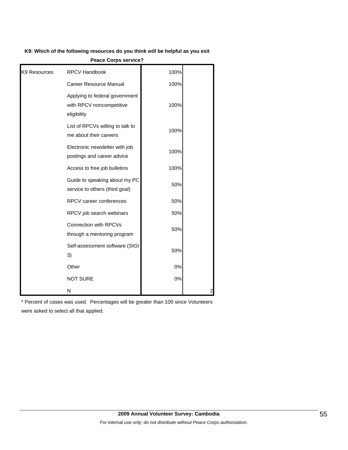#### **K9: Which of the following resources do you think will be helpful as you exit**

|              | <b>CALC ON PS SCIVILE:</b>                                                |      |   |
|--------------|---------------------------------------------------------------------------|------|---|
| K9 Resources | RPCV Handbook                                                             | 100% |   |
|              | Career Resource Manual                                                    | 100% |   |
|              | Applying to federal government<br>with RPCV noncompetitive<br>eligibility | 100% |   |
|              | List of RPCVs willing to talk to<br>me about their careers                | 100% |   |
|              | Electronic newsletter with job<br>postings and career advice              | 100% |   |
|              | Access to free job bulletins                                              | 100% |   |
|              | Guide to speaking about my PC<br>service to others (third goal)           | 50%  |   |
|              | RPCV career conferences                                                   | 50%  |   |
|              | RPCV job search webinars                                                  | 50%  |   |
|              | Connection with RPCVs<br>through a mentoring program                      | 50%  |   |
|              | Self-assessment software (SIGI<br>3)                                      | 50%  |   |
|              | Other                                                                     | 0%   |   |
|              | <b>NOT SURE</b>                                                           | 0%   |   |
|              | N                                                                         |      | 2 |

**Peace Corps service?**